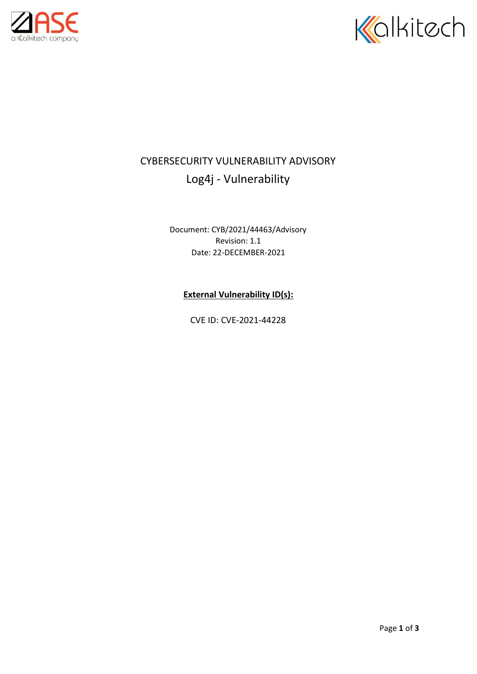



## CYBERSECURITY VULNERABILITY ADVISORY Log4j - Vulnerability

Document: CYB/2021/44463/Advisory Revision: 1.1 Date: 22-DECEMBER-2021

**External Vulnerability ID(s):**

CVE ID: CVE-2021-44228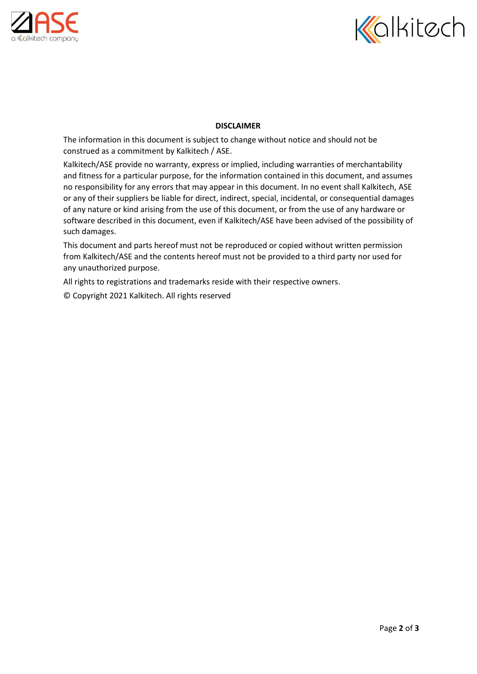



## **DISCLAIMER**

The information in this document is subject to change without notice and should not be construed as a commitment by Kalkitech / ASE.

Kalkitech/ASE provide no warranty, express or implied, including warranties of merchantability and fitness for a particular purpose, for the information contained in this document, and assumes no responsibility for any errors that may appear in this document. In no event shall Kalkitech, ASE or any of their suppliers be liable for direct, indirect, special, incidental, or consequential damages of any nature or kind arising from the use of this document, or from the use of any hardware or software described in this document, even if Kalkitech/ASE have been advised of the possibility of such damages.

This document and parts hereof must not be reproduced or copied without written permission from Kalkitech/ASE and the contents hereof must not be provided to a third party nor used for any unauthorized purpose.

All rights to registrations and trademarks reside with their respective owners.

© Copyright 2021 Kalkitech. All rights reserved